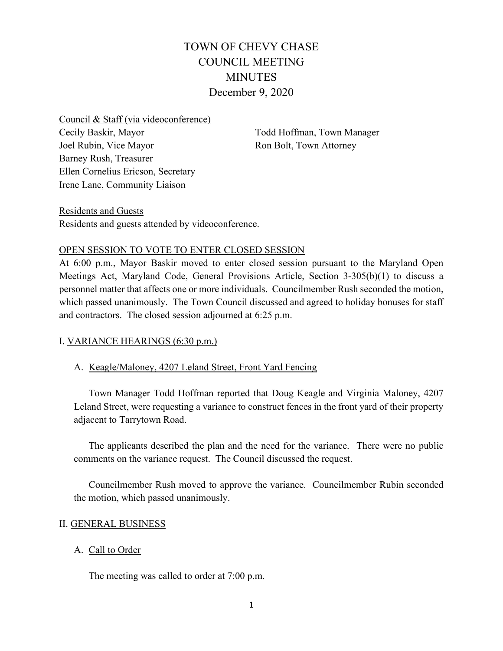# TOWN OF CHEVY CHASE COUNCIL MEETING MINUTES December 9, 2020

Council & Staff (via videoconference) Cecily Baskir, Mayor Joel Rubin, Vice Mayor Barney Rush, Treasurer Ellen Cornelius Ericson, Secretary Irene Lane, Community Liaison

Todd Hoffman, Town Manager Ron Bolt, Town Attorney

Residents and Guests Residents and guests attended by videoconference.

### OPEN SESSION TO VOTE TO ENTER CLOSED SESSION

At 6:00 p.m., Mayor Baskir moved to enter closed session pursuant to the Maryland Open Meetings Act, Maryland Code, General Provisions Article, Section 3-305(b)(1) to discuss a personnel matter that affects one or more individuals. Councilmember Rush seconded the motion, which passed unanimously. The Town Council discussed and agreed to holiday bonuses for staff and contractors. The closed session adjourned at 6:25 p.m.

### I. VARIANCE HEARINGS (6:30 p.m.)

### A. Keagle/Maloney, 4207 Leland Street, Front Yard Fencing

Town Manager Todd Hoffman reported that Doug Keagle and Virginia Maloney, 4207 Leland Street, were requesting a variance to construct fences in the front yard of their property adjacent to Tarrytown Road.

The applicants described the plan and the need for the variance. There were no public comments on the variance request. The Council discussed the request.

Councilmember Rush moved to approve the variance. Councilmember Rubin seconded the motion, which passed unanimously.

### II. GENERAL BUSINESS

### A. Call to Order

The meeting was called to order at 7:00 p.m.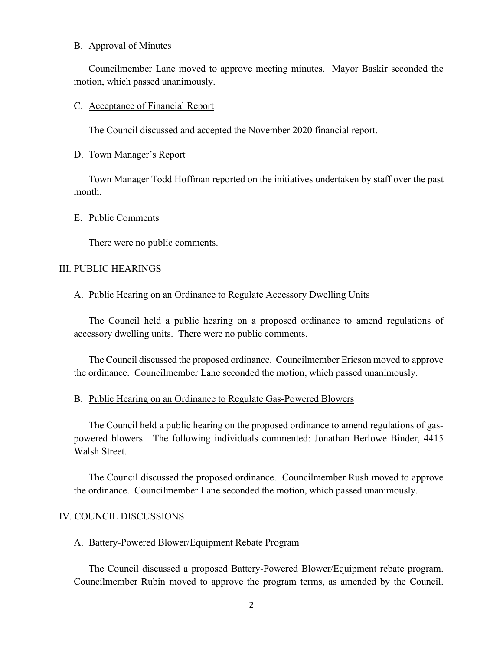#### B. Approval of Minutes

Councilmember Lane moved to approve meeting minutes. Mayor Baskir seconded the motion, which passed unanimously.

#### C. Acceptance of Financial Report

The Council discussed and accepted the November 2020 financial report.

### D. Town Manager's Report

Town Manager Todd Hoffman reported on the initiatives undertaken by staff over the past month.

### E. Public Comments

There were no public comments.

### III. PUBLIC HEARINGS

### A. Public Hearing on an Ordinance to Regulate Accessory Dwelling Units

The Council held a public hearing on a proposed ordinance to amend regulations of accessory dwelling units. There were no public comments.

The Council discussed the proposed ordinance. Councilmember Ericson moved to approve the ordinance. Councilmember Lane seconded the motion, which passed unanimously.

### B. Public Hearing on an Ordinance to Regulate Gas-Powered Blowers

The Council held a public hearing on the proposed ordinance to amend regulations of gaspowered blowers. The following individuals commented: Jonathan Berlowe Binder, 4415 Walsh Street.

The Council discussed the proposed ordinance. Councilmember Rush moved to approve the ordinance. Councilmember Lane seconded the motion, which passed unanimously.

#### IV. COUNCIL DISCUSSIONS

#### A. Battery-Powered Blower/Equipment Rebate Program

The Council discussed a proposed Battery-Powered Blower/Equipment rebate program. Councilmember Rubin moved to approve the program terms, as amended by the Council.